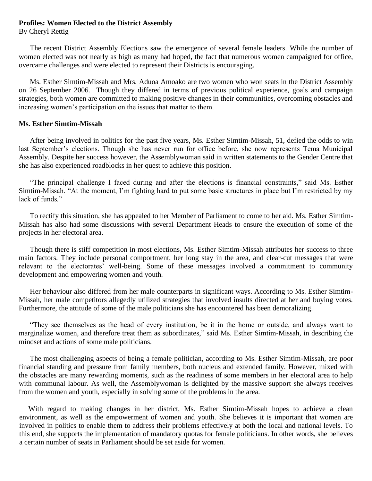## **Profiles: Women Elected to the District Assembly**

By Cheryl Rettig

 The recent District Assembly Elections saw the emergence of several female leaders. While the number of women elected was not nearly as high as many had hoped, the fact that numerous women campaigned for office, overcame challenges and were elected to represent their Districts is encouraging.

 Ms. Esther Simtim-Missah and Mrs. Aduoa Amoako are two women who won seats in the District Assembly on 26 September 2006. Though they differed in terms of previous political experience, goals and campaign strategies, both women are committed to making positive changes in their communities, overcoming obstacles and increasing women's participation on the issues that matter to them.

## **Ms. Esther Simtim-Missah**

 After being involved in politics for the past five years, Ms. Esther Simtim-Missah, 51, defied the odds to win last September's elections. Though she has never run for office before, she now represents Tema Municipal Assembly. Despite her success however, the Assemblywoman said in written statements to the Gender Centre that she has also experienced roadblocks in her quest to achieve this position.

 "The principal challenge I faced during and after the elections is financial constraints," said Ms. Esther Simtim-Missah. "At the moment, I'm fighting hard to put some basic structures in place but I'm restricted by my lack of funds."

 To rectify this situation, she has appealed to her Member of Parliament to come to her aid. Ms. Esther Simtim-Missah has also had some discussions with several Department Heads to ensure the execution of some of the projects in her electoral area.

 Though there is stiff competition in most elections, Ms. Esther Simtim-Missah attributes her success to three main factors. They include personal comportment, her long stay in the area, and clear-cut messages that were relevant to the electorates' well-being. Some of these messages involved a commitment to community development and empowering women and youth.

Her behaviour also differed from her male counterparts in significant ways. According to Ms. Esther Simtim-Missah, her male competitors allegedly utilized strategies that involved insults directed at her and buying votes. Furthermore, the attitude of some of the male politicians she has encountered has been demoralizing.

 "They see themselves as the head of every institution, be it in the home or outside, and always want to marginalize women, and therefore treat them as subordinates," said Ms. Esther Simtim-Missah, in describing the mindset and actions of some male politicians.

 The most challenging aspects of being a female politician, according to Ms. Esther Simtim-Missah, are poor financial standing and pressure from family members, both nucleus and extended family. However, mixed with the obstacles are many rewarding moments, such as the readiness of some members in her electoral area to help with communal labour. As well, the Assemblywoman is delighted by the massive support she always receives from the women and youth, especially in solving some of the problems in the area.

 With regard to making changes in her district, Ms. Esther Simtim-Missah hopes to achieve a clean environment, as well as the empowerment of women and youth. She believes it is important that women are involved in politics to enable them to address their problems effectively at both the local and national levels. To this end, she supports the implementation of mandatory quotas for female politicians. In other words, she believes a certain number of seats in Parliament should be set aside for women.